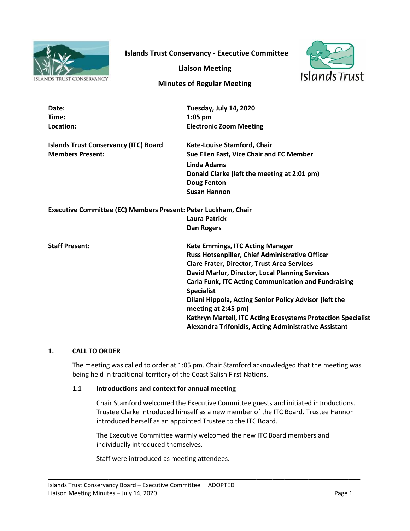

**Islands Trust Conservancy - Executive Committee** 

**Liaison Meeting**



## **Minutes of Regular Meeting**

| Date:                                                          | Tuesday, July 14, 2020                                                                                                |
|----------------------------------------------------------------|-----------------------------------------------------------------------------------------------------------------------|
| Time:                                                          | $1:05$ pm                                                                                                             |
| Location:                                                      | <b>Electronic Zoom Meeting</b>                                                                                        |
| <b>Islands Trust Conservancy (ITC) Board</b>                   | Kate-Louise Stamford, Chair                                                                                           |
| <b>Members Present:</b>                                        | Sue Ellen Fast, Vice Chair and EC Member                                                                              |
|                                                                | Linda Adams                                                                                                           |
|                                                                | Donald Clarke (left the meeting at 2:01 pm)                                                                           |
|                                                                | <b>Doug Fenton</b>                                                                                                    |
|                                                                | <b>Susan Hannon</b>                                                                                                   |
| Executive Committee (EC) Members Present: Peter Luckham, Chair |                                                                                                                       |
|                                                                | <b>Laura Patrick</b>                                                                                                  |
|                                                                | <b>Dan Rogers</b>                                                                                                     |
| <b>Staff Present:</b>                                          | <b>Kate Emmings, ITC Acting Manager</b>                                                                               |
|                                                                | Russ Hotsenpiller, Chief Administrative Officer                                                                       |
|                                                                | <b>Clare Frater, Director, Trust Area Services</b>                                                                    |
|                                                                | David Marlor, Director, Local Planning Services                                                                       |
|                                                                | <b>Carla Funk, ITC Acting Communication and Fundraising</b>                                                           |
|                                                                | <b>Specialist</b>                                                                                                     |
|                                                                | Dilani Hippola, Acting Senior Policy Advisor (left the<br>meeting at 2:45 pm)                                         |
|                                                                | Kathryn Martell, ITC Acting Ecosystems Protection Specialist<br>Alexandra Trifonidis, Acting Administrative Assistant |
|                                                                |                                                                                                                       |

#### **1. CALL TO ORDER**

The meeting was called to order at 1:05 pm. Chair Stamford acknowledged that the meeting was being held in traditional territory of the Coast Salish First Nations.

#### **1.1 Introductions and context for annual meeting**

Chair Stamford welcomed the Executive Committee guests and initiated introductions. Trustee Clarke introduced himself as a new member of the ITC Board. Trustee Hannon introduced herself as an appointed Trustee to the ITC Board.

The Executive Committee warmly welcomed the new ITC Board members and individually introduced themselves.

\_\_\_\_\_\_\_\_\_\_\_\_\_\_\_\_\_\_\_\_\_\_\_\_\_\_\_\_\_\_\_\_\_\_\_\_\_\_\_\_\_\_\_\_\_\_\_\_\_\_\_\_\_\_\_\_\_\_\_\_\_\_\_\_\_\_\_\_\_\_\_\_\_\_\_\_\_\_

Staff were introduced as meeting attendees.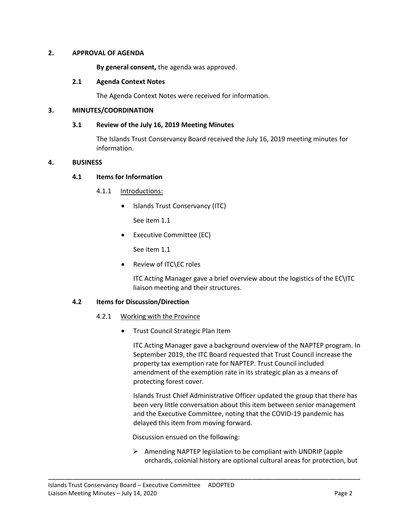#### **2. APPROVAL OF AGENDA**

**By general consent,** the agenda was approved.

## **2.1 Agenda Context Notes**

The Agenda Context Notes were received for information.

# **3. MINUTES/COORDINATION**

## **3.1 Review of the July 16, 2019 Meeting Minutes**

The Islands Trust Conservancy Board received the July 16, 2019 meeting minutes for information.

#### **4. BUSINESS**

#### **4.1 Items for Information**

- 4.1.1 Introductions:
	- Islands Trust Conservancy (ITC)

See item 1.1

**•** Executive Committee (EC)

See item 1.1

Review of ITC\EC roles

ITC Acting Manager gave a brief overview about the logistics of the EC\ITC liaison meeting and their structures.

## **4.2 Items for Discussion/Direction**

## 4.2.1 Working with the Province

• Trust Council Strategic Plan Item

ITC Acting Manager gave a background overview of the NAPTEP program. In September 2019, the ITC Board requested that Trust Council increase the property tax exemption rate for NAPTEP. Trust Council included amendment of the exemption rate in its strategic plan as a means of protecting forest cover.

Islands Trust Chief Administrative Officer updated the group that there has been very little conversation about this item between senior management and the Executive Committee, noting that the COVID-19 pandemic has delayed this item from moving forward.

Discussion ensued on the following:

\_\_\_\_\_\_\_\_\_\_\_\_\_\_\_\_\_\_\_\_\_\_\_\_\_\_\_\_\_\_\_\_\_\_\_\_\_\_\_\_\_\_\_\_\_\_\_\_\_\_\_\_\_\_\_\_\_\_\_\_\_\_\_\_\_\_\_\_\_\_\_\_\_\_\_\_\_\_

 $\triangleright$  Amending NAPTEP legislation to be compliant with UNDRIP (apple orchards, colonial history are optional cultural areas for protection, but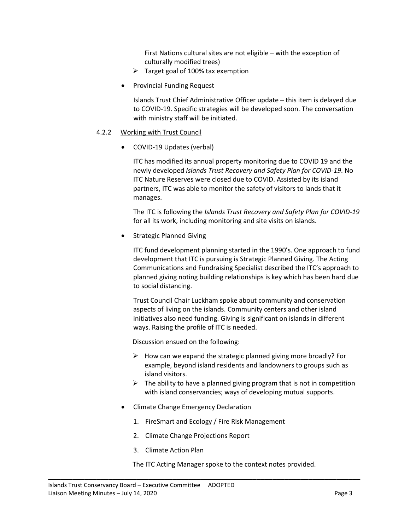First Nations cultural sites are not eligible – with the exception of culturally modified trees)

- $\triangleright$  Target goal of 100% tax exemption
- Provincial Funding Request

Islands Trust Chief Administrative Officer update – this item is delayed due to COVID-19. Specific strategies will be developed soon. The conversation with ministry staff will be initiated.

#### 4.2.2 Working with Trust Council

COVID-19 Updates (verbal)

ITC has modified its annual property monitoring due to COVID 19 and the newly developed *Islands Trust Recovery and Safety Plan for COVID-19*. No ITC Nature Reserves were closed due to COVID. Assisted by its island partners, ITC was able to monitor the safety of visitors to lands that it manages.

The ITC is following the *Islands Trust Recovery and Safety Plan for COVID-19*  for all its work, including monitoring and site visits on islands.

**•** Strategic Planned Giving

ITC fund development planning started in the 1990's. One approach to fund development that ITC is pursuing is Strategic Planned Giving. The Acting Communications and Fundraising Specialist described the ITC's approach to planned giving noting building relationships is key which has been hard due to social distancing.

Trust Council Chair Luckham spoke about community and conservation aspects of living on the islands. Community centers and other island initiatives also need funding. Giving is significant on islands in different ways. Raising the profile of ITC is needed.

Discussion ensued on the following:

- $\triangleright$  How can we expand the strategic planned giving more broadly? For example, beyond island residents and landowners to groups such as island visitors.
- $\triangleright$  The ability to have a planned giving program that is not in competition with island conservancies; ways of developing mutual supports.
- Climate Change Emergency Declaration
	- 1. FireSmart and Ecology / Fire Risk Management

\_\_\_\_\_\_\_\_\_\_\_\_\_\_\_\_\_\_\_\_\_\_\_\_\_\_\_\_\_\_\_\_\_\_\_\_\_\_\_\_\_\_\_\_\_\_\_\_\_\_\_\_\_\_\_\_\_\_\_\_\_\_\_\_\_\_\_\_\_\_\_\_\_\_\_\_\_\_

- 2. Climate Change Projections Report
- 3. Climate Action Plan

The ITC Acting Manager spoke to the context notes provided.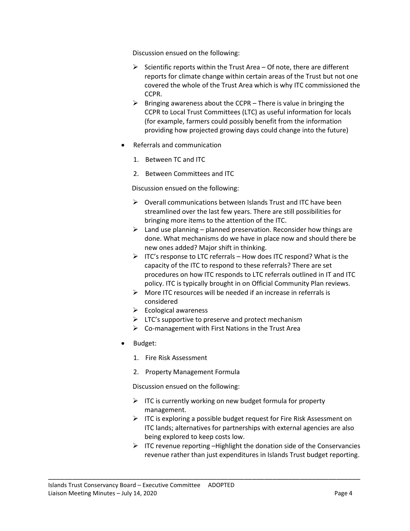Discussion ensued on the following:

- $\triangleright$  Scientific reports within the Trust Area Of note, there are different reports for climate change within certain areas of the Trust but not one covered the whole of the Trust Area which is why ITC commissioned the CCPR.
- $\triangleright$  Bringing awareness about the CCPR There is value in bringing the CCPR to Local Trust Committees (LTC) as useful information for locals (for example, farmers could possibly benefit from the information providing how projected growing days could change into the future)
- Referrals and communication
	- 1. Between TC and ITC
	- 2. Between Committees and ITC

Discussion ensued on the following:

- Overall communications between Islands Trust and ITC have been streamlined over the last few years. There are still possibilities for bringing more items to the attention of the ITC.
- $\triangleright$  Land use planning planned preservation. Reconsider how things are done. What mechanisms do we have in place now and should there be new ones added? Major shift in thinking.
- $\triangleright$  ITC's response to LTC referrals How does ITC respond? What is the capacity of the ITC to respond to these referrals? There are set procedures on how ITC responds to LTC referrals outlined in IT and ITC policy. ITC is typically brought in on Official Community Plan reviews.
- $\triangleright$  More ITC resources will be needed if an increase in referrals is considered
- $\triangleright$  Ecological awareness
- $\triangleright$  LTC's supportive to preserve and protect mechanism
- $\triangleright$  Co-management with First Nations in the Trust Area
- Budget:
	- 1. Fire Risk Assessment
	- 2. Property Management Formula

Discussion ensued on the following:

\_\_\_\_\_\_\_\_\_\_\_\_\_\_\_\_\_\_\_\_\_\_\_\_\_\_\_\_\_\_\_\_\_\_\_\_\_\_\_\_\_\_\_\_\_\_\_\_\_\_\_\_\_\_\_\_\_\_\_\_\_\_\_\_\_\_\_\_\_\_\_\_\_\_\_\_\_\_

- $\triangleright$  ITC is currently working on new budget formula for property management.
- $\triangleright$  ITC is exploring a possible budget request for Fire Risk Assessment on ITC lands; alternatives for partnerships with external agencies are also being explored to keep costs low.
- $\triangleright$  ITC revenue reporting -Highlight the donation side of the Conservancies revenue rather than just expenditures in Islands Trust budget reporting.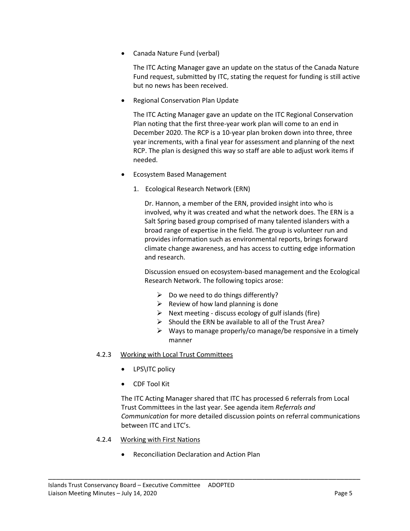Canada Nature Fund (verbal)

The ITC Acting Manager gave an update on the status of the Canada Nature Fund request, submitted by ITC, stating the request for funding is still active but no news has been received.

Regional Conservation Plan Update

The ITC Acting Manager gave an update on the ITC Regional Conservation Plan noting that the first three-year work plan will come to an end in December 2020. The RCP is a 10-year plan broken down into three, three year increments, with a final year for assessment and planning of the next RCP. The plan is designed this way so staff are able to adjust work items if needed.

- Ecosystem Based Management
	- 1. Ecological Research Network (ERN)

Dr. Hannon, a member of the ERN, provided insight into who is involved, why it was created and what the network does. The ERN is a Salt Spring based group comprised of many talented islanders with a broad range of expertise in the field. The group is volunteer run and provides information such as environmental reports, brings forward climate change awareness, and has access to cutting edge information and research.

Discussion ensued on ecosystem-based management and the Ecological Research Network. The following topics arose:

- $\triangleright$  Do we need to do things differently?
- $\triangleright$  Review of how land planning is done
- $\triangleright$  Next meeting discuss ecology of gulf islands (fire)
- $\triangleright$  Should the ERN be available to all of the Trust Area?
- $\triangleright$  Ways to manage properly/co manage/be responsive in a timely manner

## 4.2.3 Working with Local Trust Committees

- LPS\ITC policy
- CDF Tool Kit

The ITC Acting Manager shared that ITC has processed 6 referrals from Local Trust Committees in the last year. See agenda item *Referrals and Communication* for more detailed discussion points on referral communications between ITC and LTC's.

- 4.2.4 Working with First Nations
	- Reconciliation Declaration and Action Plan

\_\_\_\_\_\_\_\_\_\_\_\_\_\_\_\_\_\_\_\_\_\_\_\_\_\_\_\_\_\_\_\_\_\_\_\_\_\_\_\_\_\_\_\_\_\_\_\_\_\_\_\_\_\_\_\_\_\_\_\_\_\_\_\_\_\_\_\_\_\_\_\_\_\_\_\_\_\_